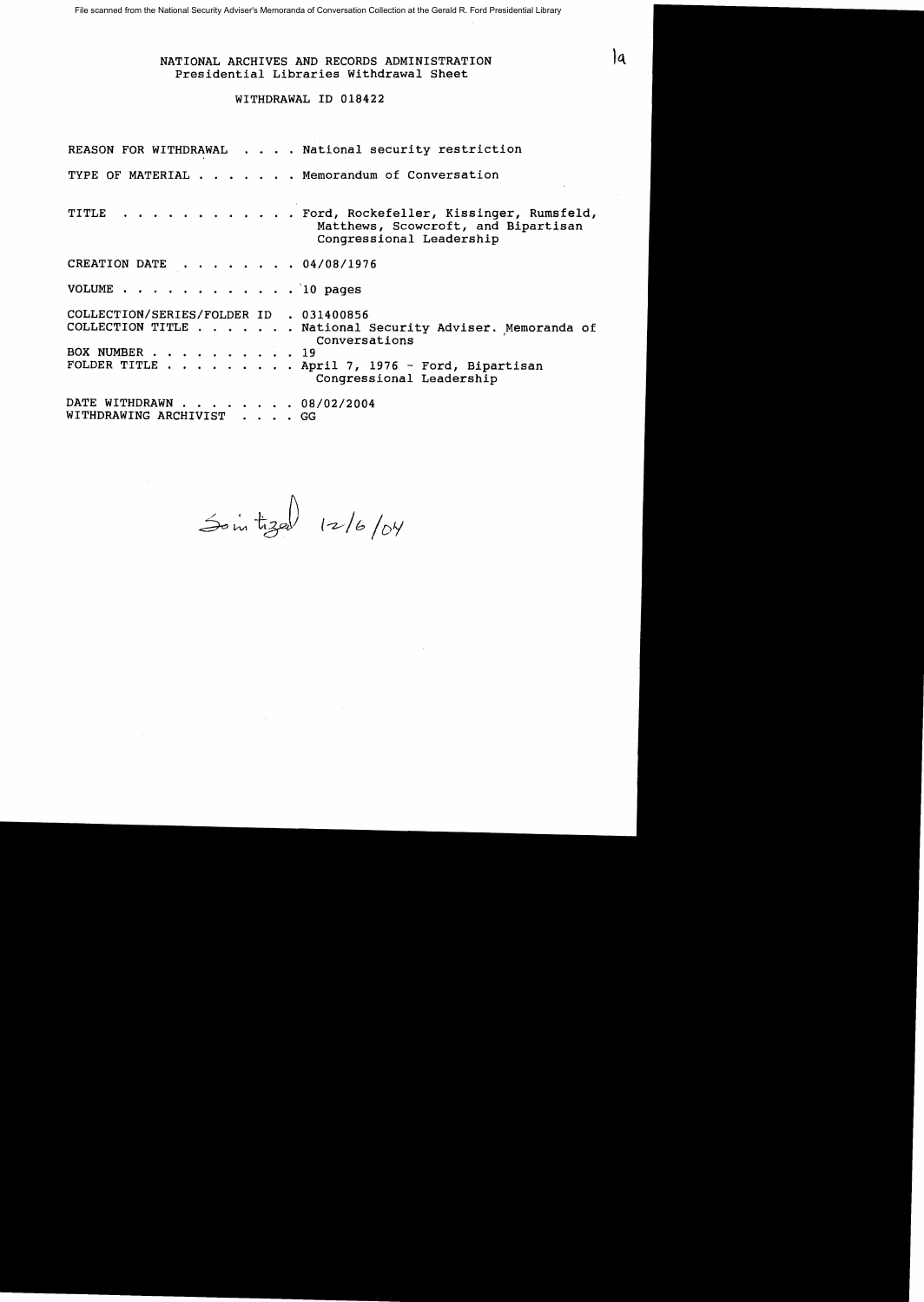#### NATIONAL ARCHIVES AND RECORDS ADMINISTRATION Presidential Libraries Withdrawal Sheet

## WITHDRAWAL ID 018422

REASON FOR WITHDRAWAL . . . . National security restriction TYPE OF MATERIAL . . . . . . Memorandum of Conversation TITLE . . . . . . . . . . . Ford, Rockefeller, Kissinger, Rumsfeld, Matthews, Scowcroft, and Bipartisan Congressional Leadership CREATION DATE  $\cdot \cdot \cdot \cdot \cdot \cdot 04/08/1976$ VOLUME  $\cdots$  . . . . . . . . . . 10 pages COLLECTION/SERIES/FOLDER ID . 031400856 COLLECTION TITLE . . . . . . . National Security Adviser. Memoranda of<br>Conversations EX NUMBER . . . . . . . . . . 19<br>FOLDER TITLE . . . . . . . . . April 7, 1976 - $\ldots$  April 7, 1976 - Ford, Bipartisan Congressional Leadership DATE WITHDRAWN . . . . . . . 08/02/2004 WITHDRAWING ARCHIVIST . . . . GG

Sointized  $12/6/04$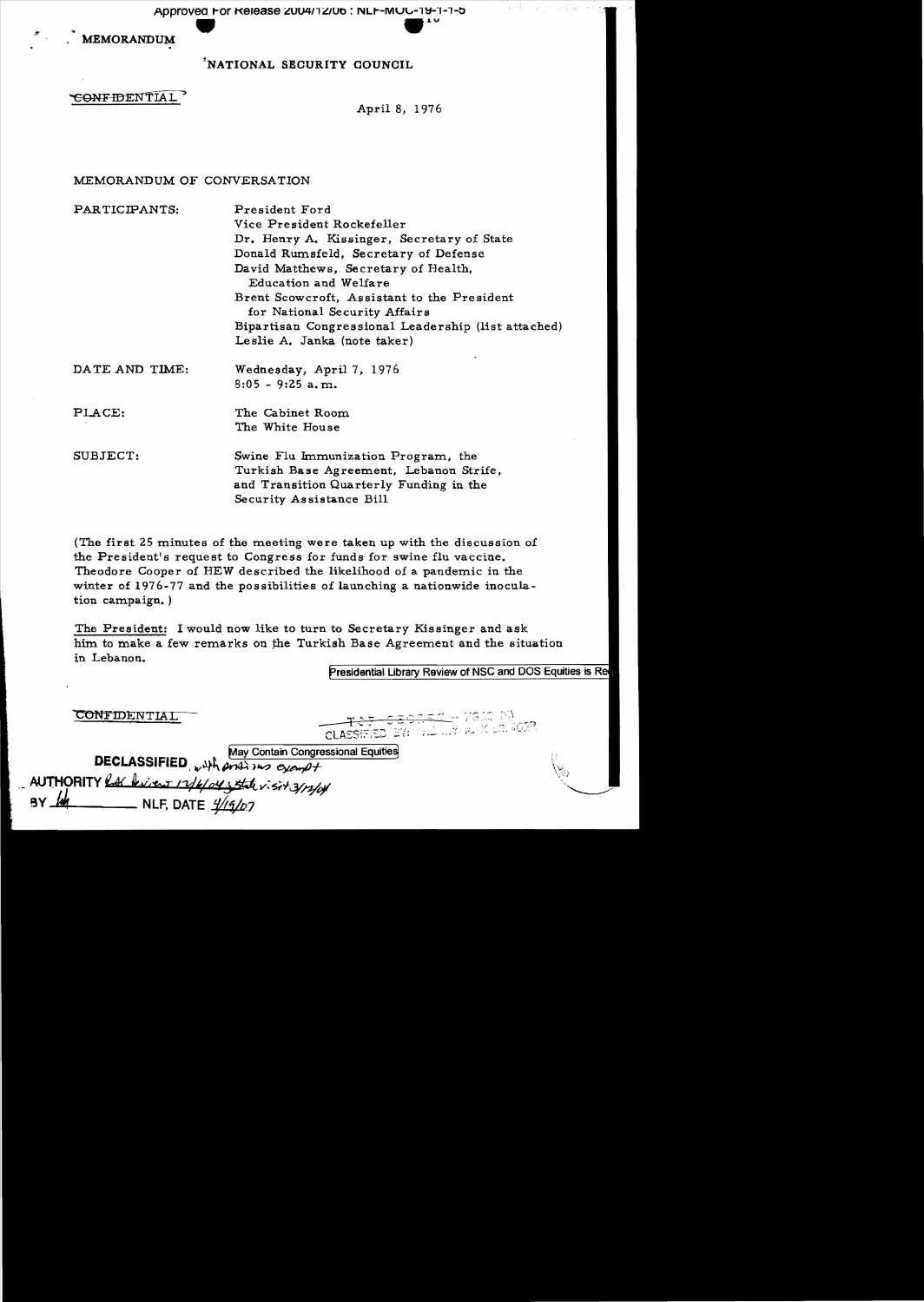Approved For Release 2004/12/06 : NLF-MUC-19-1-1-5

**MEMORANDUM** 

NATIONAL SECURITY COUNCIL

## CONFIDENTIAL

April 8, 1976

## MEMORANDUM OF CONVERSATION

| PARTICIPANTS:  | President Ford                                                               |  |  |  |  |
|----------------|------------------------------------------------------------------------------|--|--|--|--|
|                | Vice President Rockefeller                                                   |  |  |  |  |
|                | Dr. Henry A. Kissinger, Secretary of State                                   |  |  |  |  |
|                | Donald Rumsfeld, Secretary of Defense                                        |  |  |  |  |
|                | David Matthews, Secretary of Health,                                         |  |  |  |  |
|                | Education and Welfare                                                        |  |  |  |  |
|                | Brent Scowcroft, Assistant to the President<br>for National Security Affairs |  |  |  |  |
|                | Bipartisan Congressional Leadership (list attached)                          |  |  |  |  |
|                | Leslie A. Janka (note taker)                                                 |  |  |  |  |
| DATE AND TIME: | Wednesday, April 7, 1976                                                     |  |  |  |  |
|                | $8:05 - 9:25$ a.m.                                                           |  |  |  |  |
| PLACE:         | The Cabinet Room                                                             |  |  |  |  |
|                | The White House                                                              |  |  |  |  |

Swine Flu Immunization Program, the SUBJECT: Turkish Base Agreement, Lebanon Strife, and Transition Quarterly Funding in the Security Assistance Bill

(The first 25 minutes of the meeting were taken up with the discussion of the President's request to Congress for funds for swine flu vaccine. Theodore Cooper of HEW described the likelihood of a pandemic in the winter of 1976-77 and the possibilities of launching a nationwide inoculation campaign.)

The President: I would now like to turn to Secretary Kissinger and ask him to make a few remarks on the Turkish Base Agreement and the situation in Lebanon.

Presidential Library Review of NSC and DOS Equities is Re

|                                                                                                                                                                                                                                                                                                                                                                             | <u> Legenst e van W</u><br>CLASSIFIED BY: WALLY ALL SIGNESS |  |
|-----------------------------------------------------------------------------------------------------------------------------------------------------------------------------------------------------------------------------------------------------------------------------------------------------------------------------------------------------------------------------|-------------------------------------------------------------|--|
| <b>DECLASSIFIED</b> $_{w}$ $_{w}$ $_{w}$ $_{w}$ $_{w}$ $_{w}$ $_{w}$ $_{w}$ $_{w}$ $_{w}$ $_{w}$ $_{w}$ $_{w}$ $_{w}$ $_{w}$ $_{w}$ $_{w}$ $_{w}$ $_{w}$ $_{w}$ $_{w}$ $_{w}$ $_{w}$ $_{w}$ $_{w}$ $_{w}$ $_{w}$ $_{w}$ $_{w}$ $_{w}$ $_{w}$ $_{w}$ $_{w}$ $_{w}$ $_{$<br>AUTHORITY RAC bien 17/6/04 state visit 3/12/04<br>BY $\frac{1}{4}$ NLF, DATE $\frac{1}{4}$ (9/07) |                                                             |  |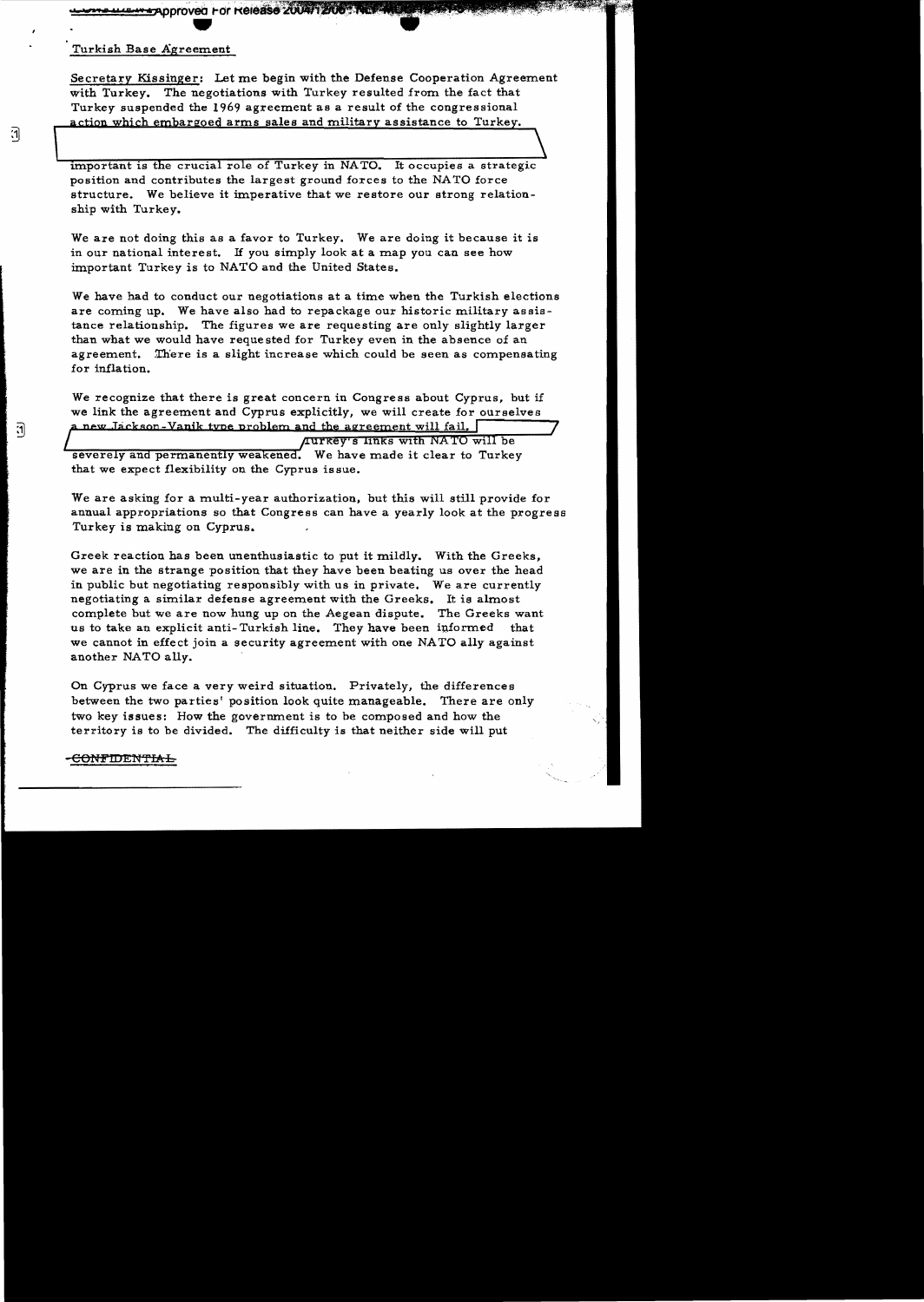www.uur.w.theproved For Release 200

## Turkish Base Agreement

7

 $\mathbf{d}$ 

Secretary Kissinger: Let me begin with the Defense Cooperation Agreement with Turkey. The negotiations with Turkey resulted from the fact that Turkey suspended the 1969 agreement as a result of the congressional action which embargoed arms sales and military assistance to Turkey.

important is the crucial role of Turkey in NATO. It occupies a strategic position and contributes the largest ground forces to the NA TO force structure. We believe it imperative that we restore our strong relationship with Turkey.

We are not doing this as a favor to Turkey. We are doing it because it is in our national interest. H you simply look at a map you can see how important Turkey is to NATO and the United States.

We have had to conduct our negotiations at a time when the Turkish elections are coming up. We have also had to repackage our historic military assistance relationship. The figures we are requesting are only slightly larger than what we would have requested for Turkey even in the absence of an agreement. There is a slight increase which could be seen as compensating for inflation.

We recognize that there is great concern in Congress about Cyprus, but if we link the agreement and Cyprus explicitly, we will create for ourselves a new Jackson-Vanik type problem and the agreement will fail,  $\lceil$ 

**Aurkey's links with NATO will be** severely and permanently weakened. We have made it clear to Turkey that we expect flexibility on the Cyprus issue.

We are asking for a multi-year authorization, but this will still provide for annual appropriations so that Congress can have a yearly look at the progress Turkey is making on Cyprus.

Greek reaction has been unenthusiastic to put it mildly. With the Greeks, we are in the strange position that they have been beating us over the head in public but negotiating responsibly with us in private. We are currently negotiating a similar defense agreement with the Greeks. It is almost complete but we are now hung up on the Aegean dispute. The Greeks want us to take an explicit anti-Turkish line. They have been informed that we cannot in effect join a security agreement with one NATO ally against another NATO ally.

On Cyprus we face a very weird situation. Privately, the differences between the two parties' position look quite manageable. There are only two key issues: How the government is to be composed and how the territory is to be divided. The difficulty is that neither side will put

## -<del>CONFIDENTIAL</del>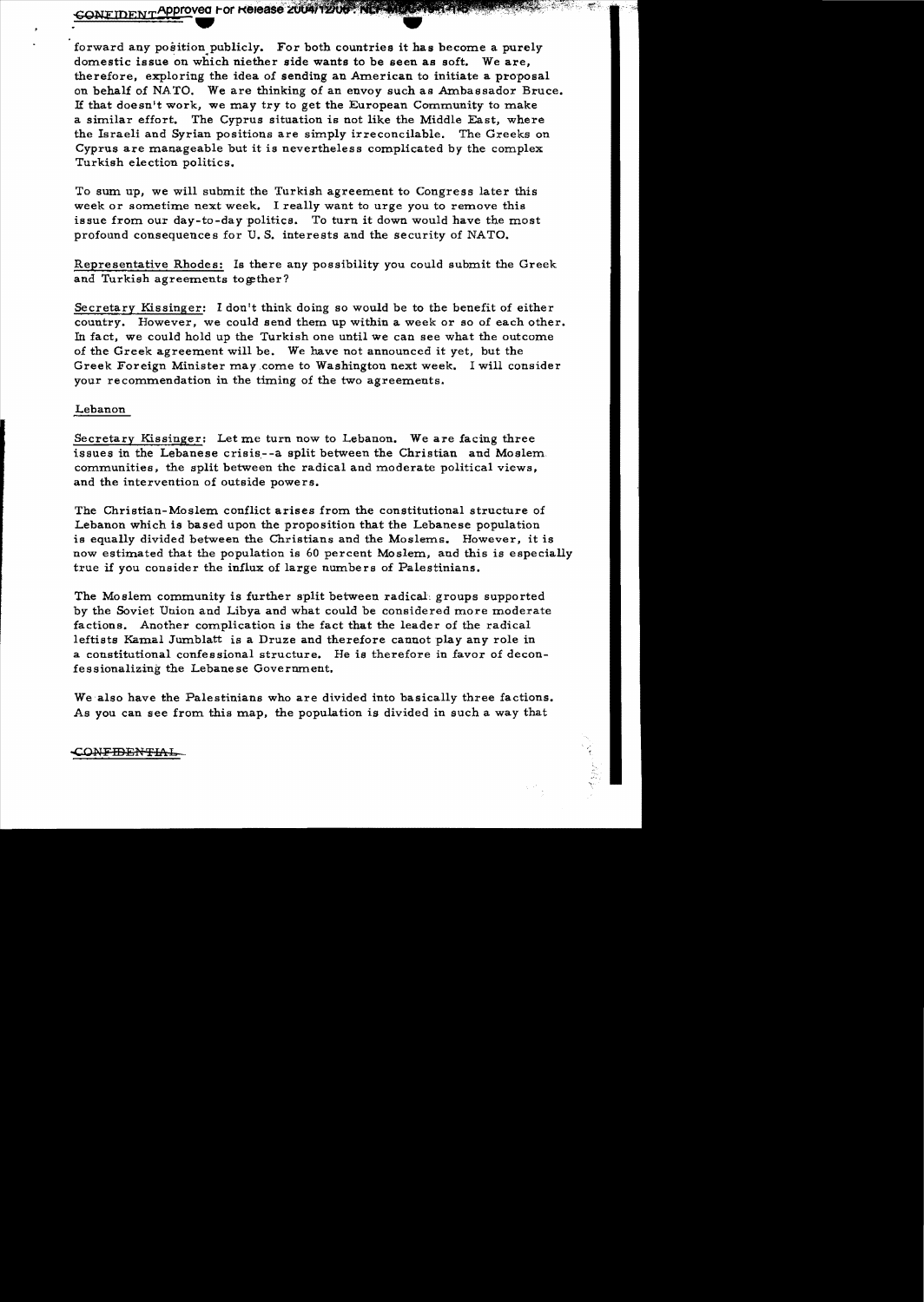CONFIDENT Approved For Release 2004/1200 - NETWORKS CONFIDENT

forward any position publicly. For both countries it has become a purely domestic issue on which niether side wants to be seen as soft. We are, therefore, exploring the idea of sending an American to initiate a proposal on behalf of NATO. We are thinking of an envoy such as Ambassador Bruce. 1£ that doesn't work. we may try to get the European Community to make a similar effort. The Cyprus situation is not like the Middle East, where the Israeli and Syrian positions are simply irreconcilable. The Greeks on Cyprus are manageable but it is nevertheless complicated by the complex Turkish election politics.

To sum up, we will submit the Turkish agreement to Congress later this week or sometime next week. I really want to urge you to remove this issue from our day-to-day politics. To turn it down would have the most profound consequences for U.S. interests and the security of NATO.

Representative Rhodes: Is there any possibility you could submit the Greek and Turkish agreements together?

Secretary Kissinger: I don't think doing so would be to the benefit of either country. However. we could send them up within a week or so of each other. In fact. we could hold up the Turkish one until we can see what the outcome of the Greek agreement will be. We have not announced it *yet,* but the Greek Foreign Minister may ,come to Washington next week. I will consider your recommendation in the timing of the two agreements.

## Lebanon

Secretary Kissinger: Let me turn now to Lebanon. We are facing three issues in the Lebanese crisis--a split between the Christian and Moslem. communities, the split between the radical and moderate political views, and the intervention of outside powers.

The Christian-Moslem conflict arises from the constitutional structure of Lebanon which is based upon the proposition that the Lebanese population is equally divided between the Christians and the Moslems. However. it is now estimated that the population is 60 percent Moslem. and this is especially true if you consider the influx of large numbers of Palestinians.

The Moslem community is further split between radical: groups supported by the Soviet Union and Libya and what could be considered more moderate factions. Another complication is the fact that the leader of the radical leftists Kamal Jumblatt is a Druze and therefore cannot play any role in a constitutional confessional structure. He is therefore in favor of deconfessionalizing the Lebanese Government.

We also have the Palestinians who are divided into basically three factions. As you can see from this map. the population is divided in such a way that

## CON<del>FIDENTIAL</del>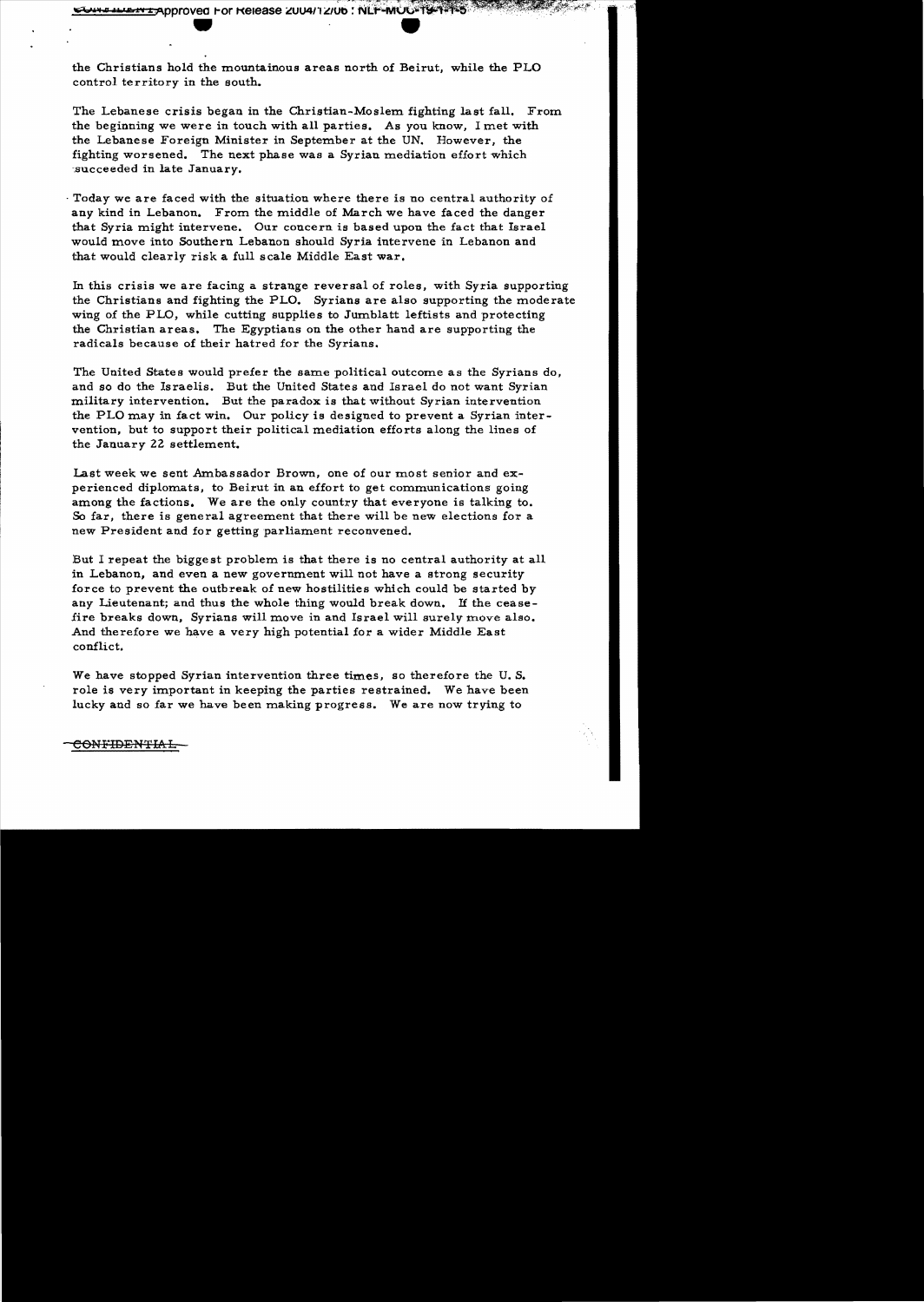**ENT Approved For Release 2004/12/06 : NLF-MUU-19-1-1-5** 

the Christians hold the mountainous areas north of Beirut, while the PLO control territory in the south.

The Lebanese crisis began in the Christian-Moslem fighting last fall. From the beginning we were in touch with all parties. As you know, I met with the Lebanese Foreign Minister in September at the UN. However, the fighting worsened. The next phase was a Syrian mediation effort which succeeded in late January.

. Today we are faced with the situation where there is no central authority of any kind in Lebanon. From the middle of March we have faced the danger that Syria might intervene. Our concern is based upon the fact that Israel would move into Southern Lebanon should Syria intervene in Lebanon and that would clearly risk a full scale Middle East war.

In this crisis we are facing a strange reversal of roles, with Syria supporting the Christians and fighting the PLO. Syrians are also supporting the moderate wing of the PLO, while cutting supplies to Jumblatt leftists and protecting the Christian areas. The Egyptians on the other hand are supporting the radicals because of their hatred for the Syrians.

The United States would prefer the same political outcome as the Syrians do, and so do the Israelis. But the United States and Israel do not want Syrian military intervention. But the paradox is that without Syrian intervention the PLO may in fact win. Our policy is designed to prevent a Syrian inter vention, but to support their political mediation efforts along the lines of the January 22 settlement.

Last week we sent Ambassador Brown, one of our most senior and experienced diplomats, to Beirut in an effort to get communications going among the factions. We are the only country that everyone is talking to. So far, there is general agreement that there will be new elections for a new President and for getting parliament reconvened.

But I repeat the biggest problem is that there is no central authority at all in Lebanon, and even a new government will not have a strong security force to prevent the outbreak of new hostilities which could be started by any Lieutenant; and thus the whole thing would break down. *H* the cease fire breaks down. Syrians will move in and Israel will surely move also. And therefore we have a very high potential for a wider Middle East conflict.

We have stopped Syrian intervention three times, so therefore the U.S. role is very important in keeping the parties restrained. We have been lucky and so far we have been making progress. We are now trying to

CONFIDENTIAL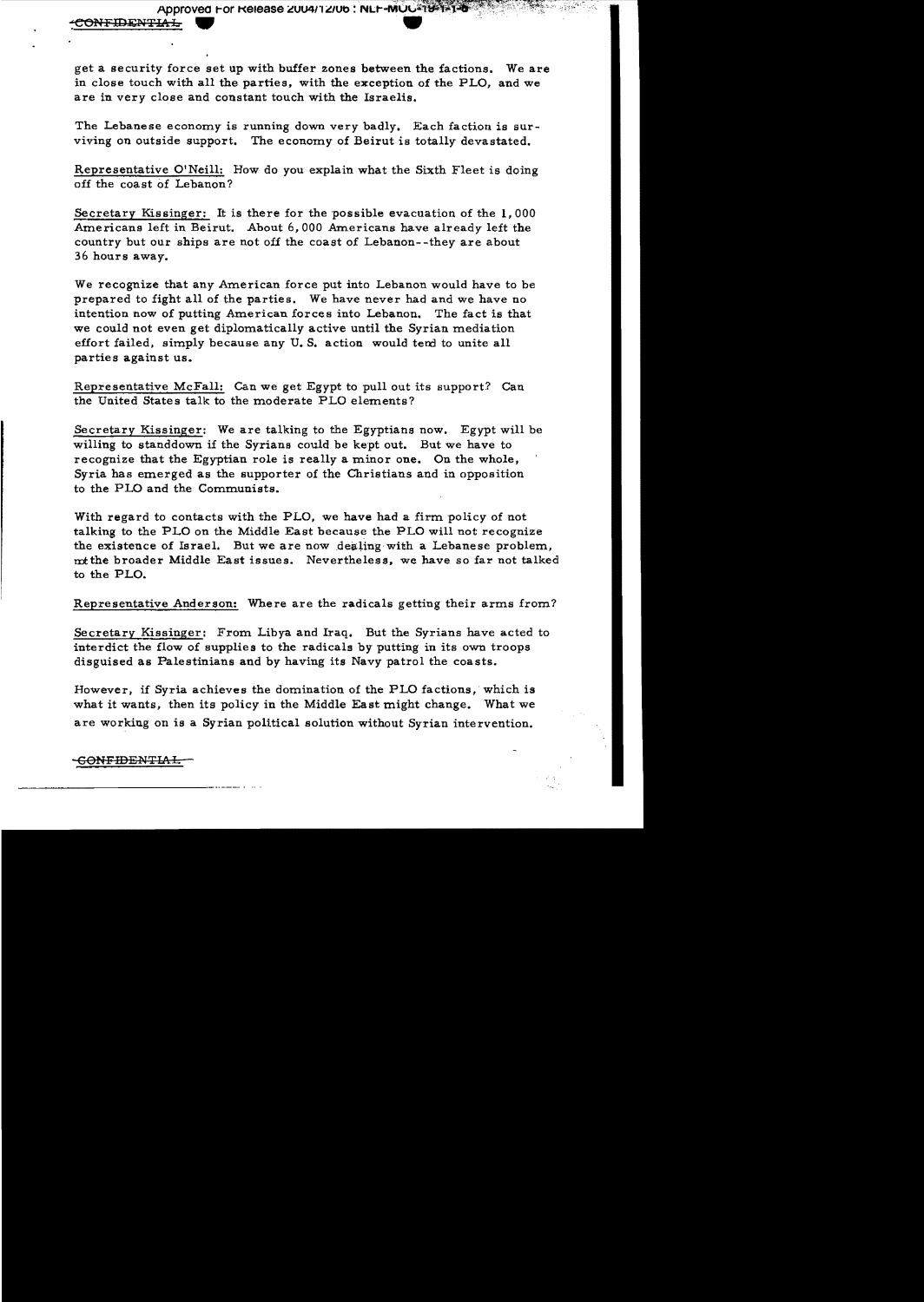Approved For Release 2004/12/06 : NLF-MOC<sup>2</sup>19-

get a security force set up with buffer zones between the factions. We are in close touch with all the parties. with the exception of the PLO, and we are in very close and constant touch with the Israelis.

The Lebanese economy is running down very badly. Each faction is surviving on outside support. The economy of Beirut is totally devastated.

Representative O'Neill: How do you explain what the Sixth Fleet is doing off the coast of Lebanon?

Secretary Kissinger: It is there for the possible evacuation of the **1,000**  Americans left in Beirut. About 6,000 Americans have already left the country but our ships are not off the coast of Lebanon- -they are about 36 hours away.

We recognize that any American force put into Lebanon would have to be prepared to fight all of the parties. We have never had and we have no intention now of putting American forces into Lebanon. The fact is that we could not even get diplomatically active until the Syrian mediation effort failed, simply because any U.S. action would tend to unite all parties against us.

Representative McFall: Can we get Egypt to pull out its support? Can the United States talk to the moderate PLO elements?

Secretary Kissinger: We are talking to the Egyptians now. Egypt will be willing to standdown if the Syrians could be kept out. But we have to recognize that the Egyptian role is really a minor one. On the whole, Syria has emerged as the supporter of the Christians and in opposition to the PLO and the Communists.

With regard to contacts with the PLO, we have had a firm policy of not talking to the PLO on the Middle East because the PLO will not recognize the existence of Israel. But we are now dealing· with a Lebanese problem, mtthe broader Middle East issues. Nevertheless. we have so far not talked to the PLO.

Representative Anderson: Where are the radicals getting their arms from?

Secretary Kissinger: From Libya and Iraq. But the Syrians have acted to interdict the flow of supplies to the radicals by putting in its own troops disguised as Palestinians and by having its Navy patrol the coasts.

However, if Syria achieves the domination of the PLO factions, which is what it wants, then its policy in the Middle East might change. What we are working on is a Syrian political solution without Syrian intervention.

• GONFIDENTIA.L -------------\_.\_..--\_..... .

:ONFIDENTIAL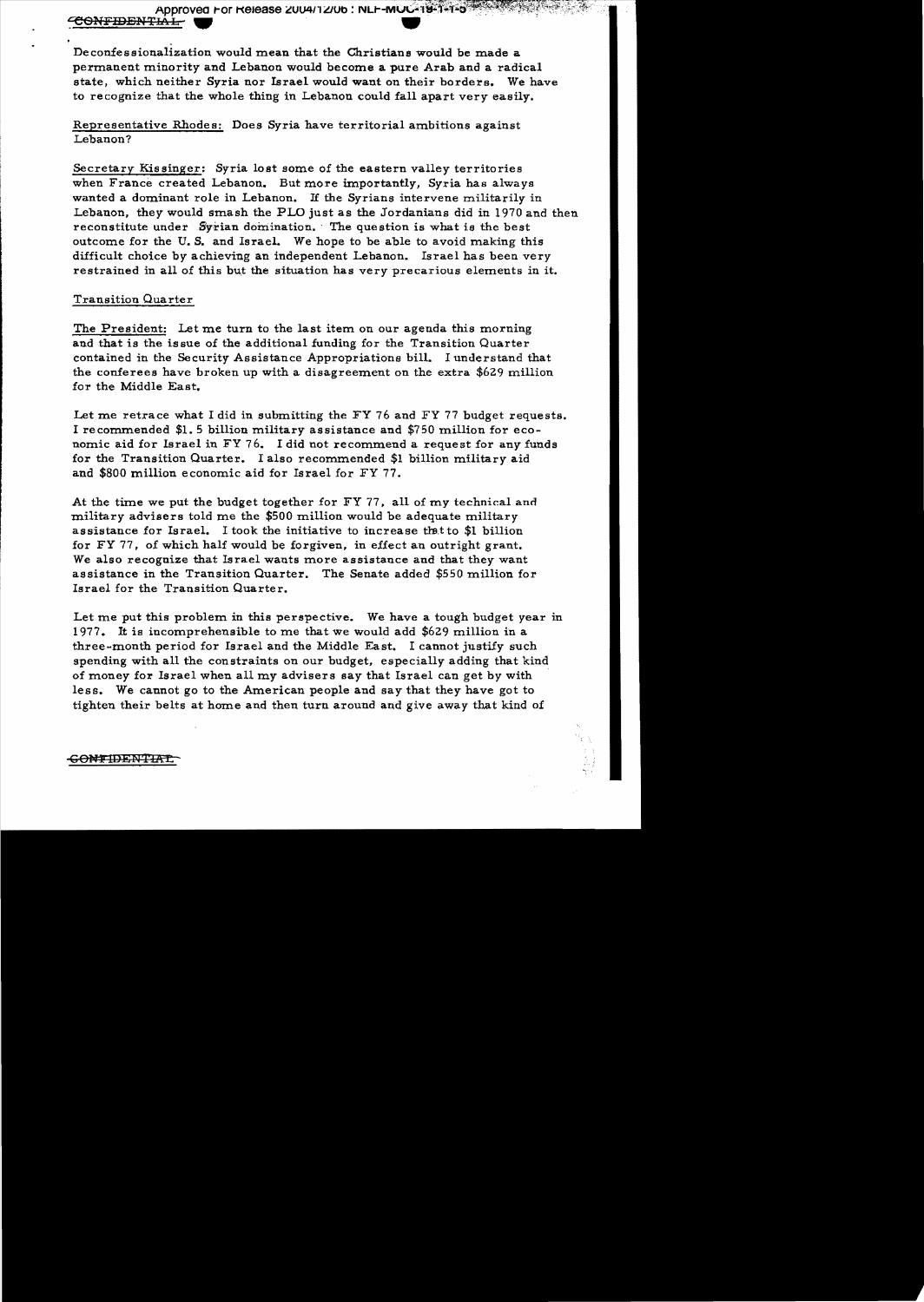Approved For Release 2004/12/06 : NLF-MUC-19-1-1-5

## <del>CONFIDENTIAL</del>

Deconfessionalization would mean that the Christians would be made a permanent minority and Lebanon would become a pure Arab and a radical state, which neither Syria nor Israel would want on their borders. We have to recognize that the whole thing in Lebanon could fall apart very easily.

# Representative Rhodes: Does Syria have territorial ambitions against Lebanon?

Secretary Kissinger: Syria lost some of the eastern valley territories when France created Lebanon. But more importantly, Syria has always wanted a dominant role in Lebanon. If the Syrians intervene militarily in Lebanon, they would smash the PLO just as the Jordanians did in 1970 and then reconstitute under Syrian domination. The question is what is the best outcome for the U.S. and Israel. We hope to be able to avoid making this difficult choice by achieving an independent Lebanon. Israel has been very restrained in all of this but the situation has very precarious elements in it.

## **Transition Quarter**

The President: Let me turn to the last item on our agenda this morning and that is the issue of the additional funding for the Transition Quarter contained in the Security Assistance Appropriations bill. I understand that the conferees have broken up with a disagreement on the extra \$629 million for the Middle East.

Let me retrace what I did in submitting the FY 76 and FY 77 budget requests. I recommended \$1.5 billion military assistance and \$750 million for economic aid for Israel in FY 76. I did not recommend a request for any funds for the Transition Quarter. I also recommended \$1 billion military aid and \$800 million economic aid for Israel for FY 77.

At the time we put the budget together for FY 77, all of my technical and military advisers told me the \$500 million would be adequate military assistance for Israel. I took the initiative to increase that to \$1 billion for FY 77, of which half would be forgiven, in effect an outright grant. We also recognize that Israel wants more assistance and that they want assistance in the Transition Quarter. The Senate added \$550 million for Israel for the Transition Quarter.

Let me put this problem in this perspective. We have a tough budget year in 1977. It is incomprehensible to me that we would add \$629 million in a three-month period for Israel and the Middle East. I cannot justify such spending with all the constraints on our budget, especially adding that kind of money for Israel when all my advisers say that Israel can get by with less. We cannot go to the American people and say that they have got to tighten their belts at home and then turn around and give away that kind of

## <del>CONTIDENTIAL</del>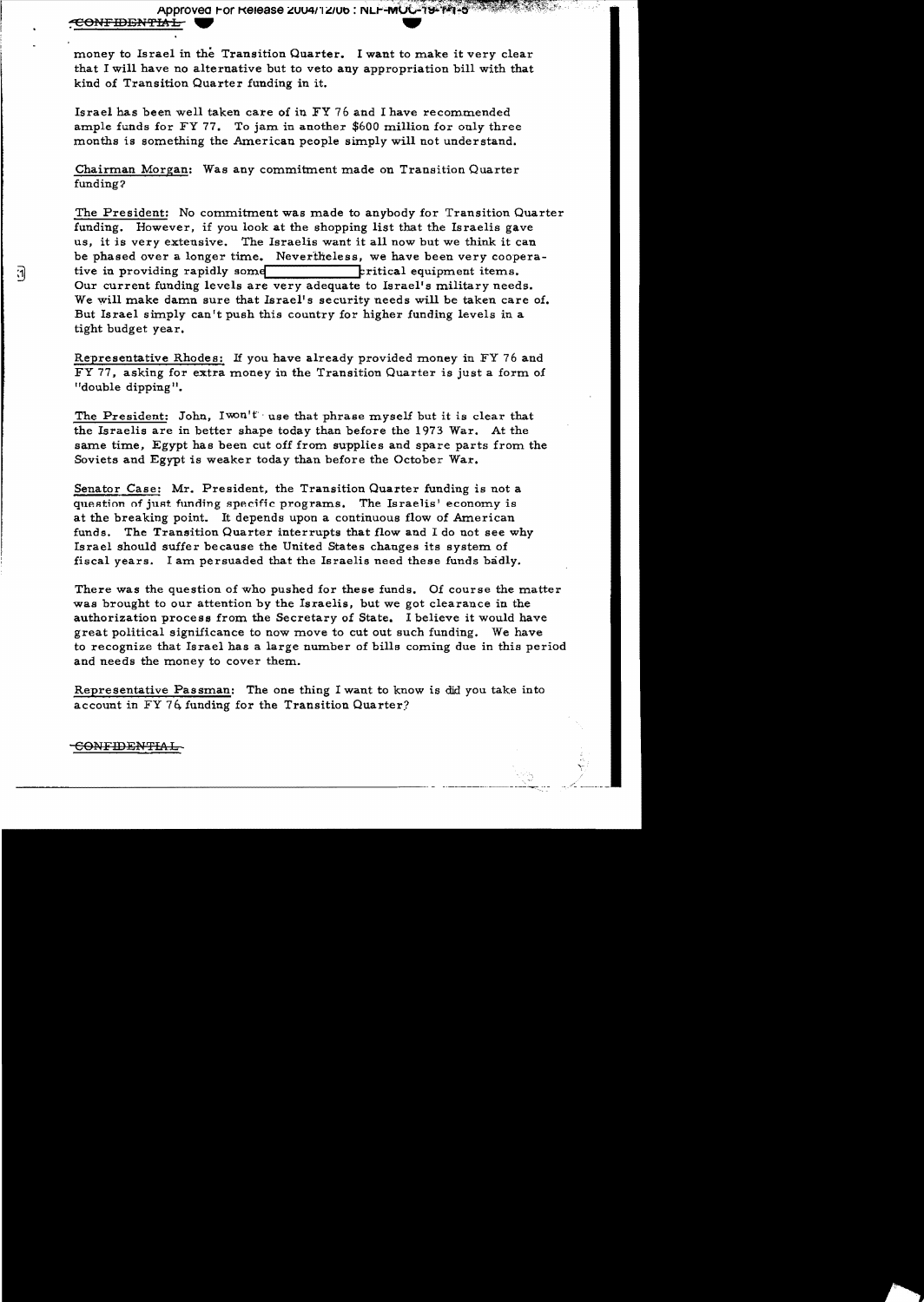:1

money to Israel in the Transition Quarter. I want to make it very clear that I will have no alternative but to veto any appropriation bill with that kind of Transition Quarter funding in it.

Israel has been well taken care of in FY 76 and I have recommended ample funds for  $FY$  77. To jam in another \$600 million for only three months is something the American people simply will not understand.

Chairman Morgan: Was any commitment made on Transition Quarter funding?

The President: No commitment was made to anybody for Transition Quarter funding. However, if you look at the shopping list that the Israelis gave us, it is very extensive. The Israelis want it all now but we think it can be phased over a longer time. Nevertheless, we have been very cooperative in providing rapidly some **Filtical** equipment items. Our current funding levels are very adequate to Israel's military needs. We will make damn sure that Israel's security needs will be taken care of. But Israel simply can 't push this country for higher funding levels in a tight budget year.

Representative Rhodes: If you have already provided money in FY 76 and FY 77. asking for extra money in the Transition Quarter is just a form of "double dipping".

The President: John,  $I^{won't}$  use that phrase myself but it is clear that the Israelis are in better shape today than before the 1973 War. At the same time, Egypt has been cut off from supplies and spare parts from the Soviets and Egypt is weaker today than before the October War.

Senator Case: Mr. President, the Transition Quarter funding is not a question of just funding specific programs. The Israelis' economy is at the breaking point. It depends upon a continuous flow of American funds. The Transition Quarter interrupts that flow and I do not see why Israel should suffer because the United States changes its system of fiscal years. I am persuaded that the Israelis need these funds badly.

There was the question of who pushed for these funds. Of course the matter was brought to our attention by the Israelis, but we got clearance in the authorization process from the Secretary of State. I believe it would have great political significance to now move to cut out such funding. We have to recognize that Israel has a large number of bills coming due in this period and needs the money to cover them.

Representative Passman: The one thing I want to know is did you take into account in FY 76, funding for the Transition Quarter;

## <del>CONFIDENTIAL</del>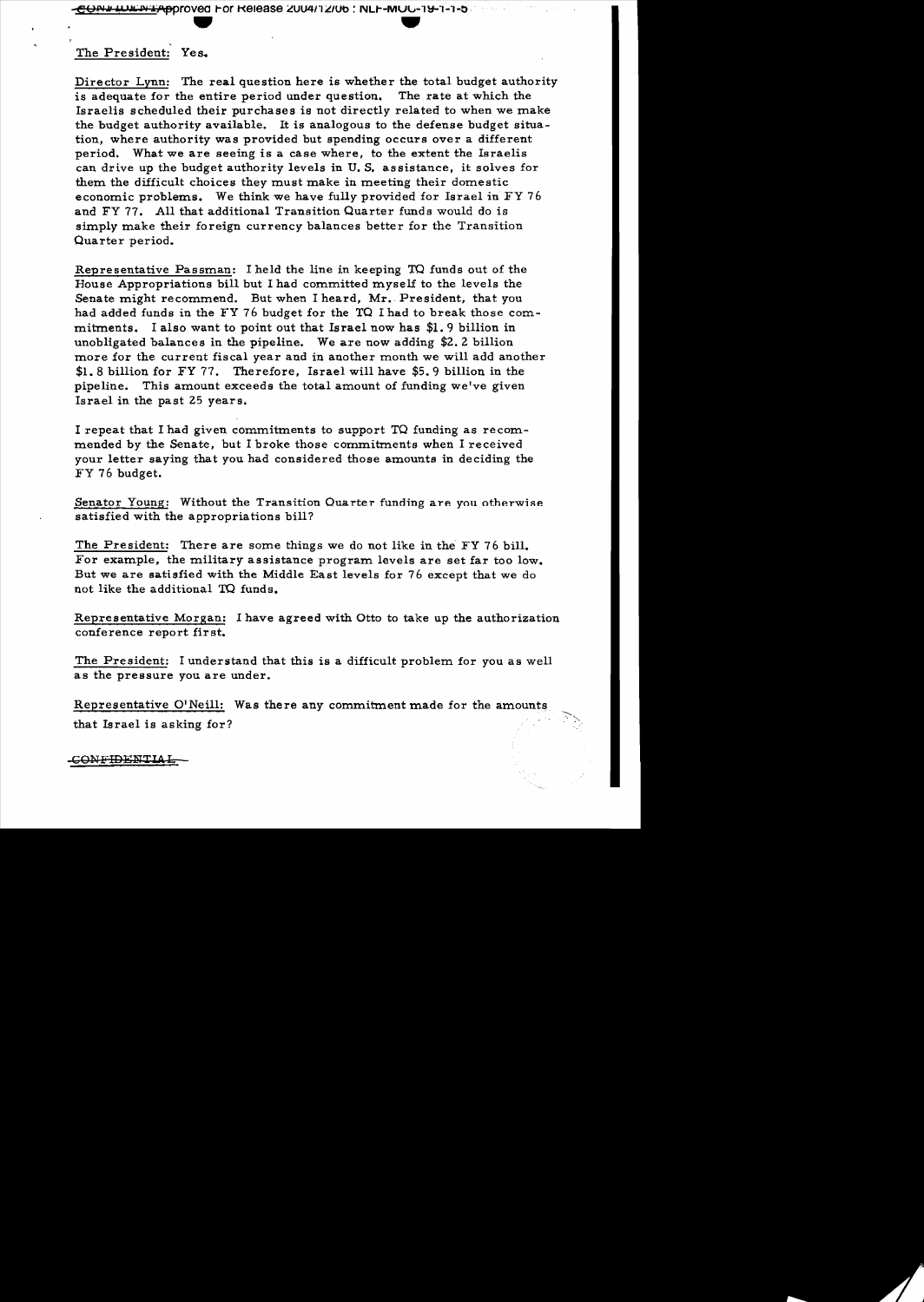# The President: Yes.

,

Director Lynn: The real question here is whether the total budget authority is adequate for the entire period under question. The rate at which the Israelis scheduled their purchases is not directly related to when we make the budget authority available. It is analogous to the defense budget situation, where authority was provided but spending occurs over a different period. What we are seeing is a case where, to the extent the Israelis can drive up the budget authority levels in U. S. as sistance, it solves for them the difficult choices they must make in meeting their domestic economic problems. We think we have fully provided for Israel in FY 76 and FY 77. All that additional Transition Quarter funds would do is simply make their foreign currency balances better for the Transition Quarter period.

Representative Passman: I held the line in keeping TO funds out of the House Appropriations bill but I had committed myself to the levels the Senate might recommend. But when I heard, Mr. President, that you had added funds in the FY 76 budget for the TO I had to break those commitments. I also want to point out that Israel now has \$1. 9 billion in unobligated balances in the pipeline. We are now adding \$2.2 billion more for the current fiscal year and in another month we will add another \$1. 8 billion for FY 77. Therefore, Israel will have \$5.9 billion in the pipeline. This amount exceeds the total amount of funding we've given Israel in the past 25 year s.

I repeat that I had given commitments to support TQ funding as recommended by the Senate, but I broke those commitments when I received your letter saying that you had considered those amounts in deciding the FY 76 budget.

Senator Young: Without the Transition Quarter funding are you otherwise satisfied with the appropriations bill?

The President: There are some things we do not like in the FY 76 bill. For example. the military assistance program levels are set far too low. But we are satisfied with the Middle East levels for 76 except that we do not like the additional TQ funds.

Representative Morgan: I have agreed with Otto to take up the authorization conference report first.

The President: I understand that this is a difficult problem for you as well as the pressure you are under.

Representative O'Neill: Was there any commitment made for the amounts that Israel is asking for?

-CONFIDENTlA,I:.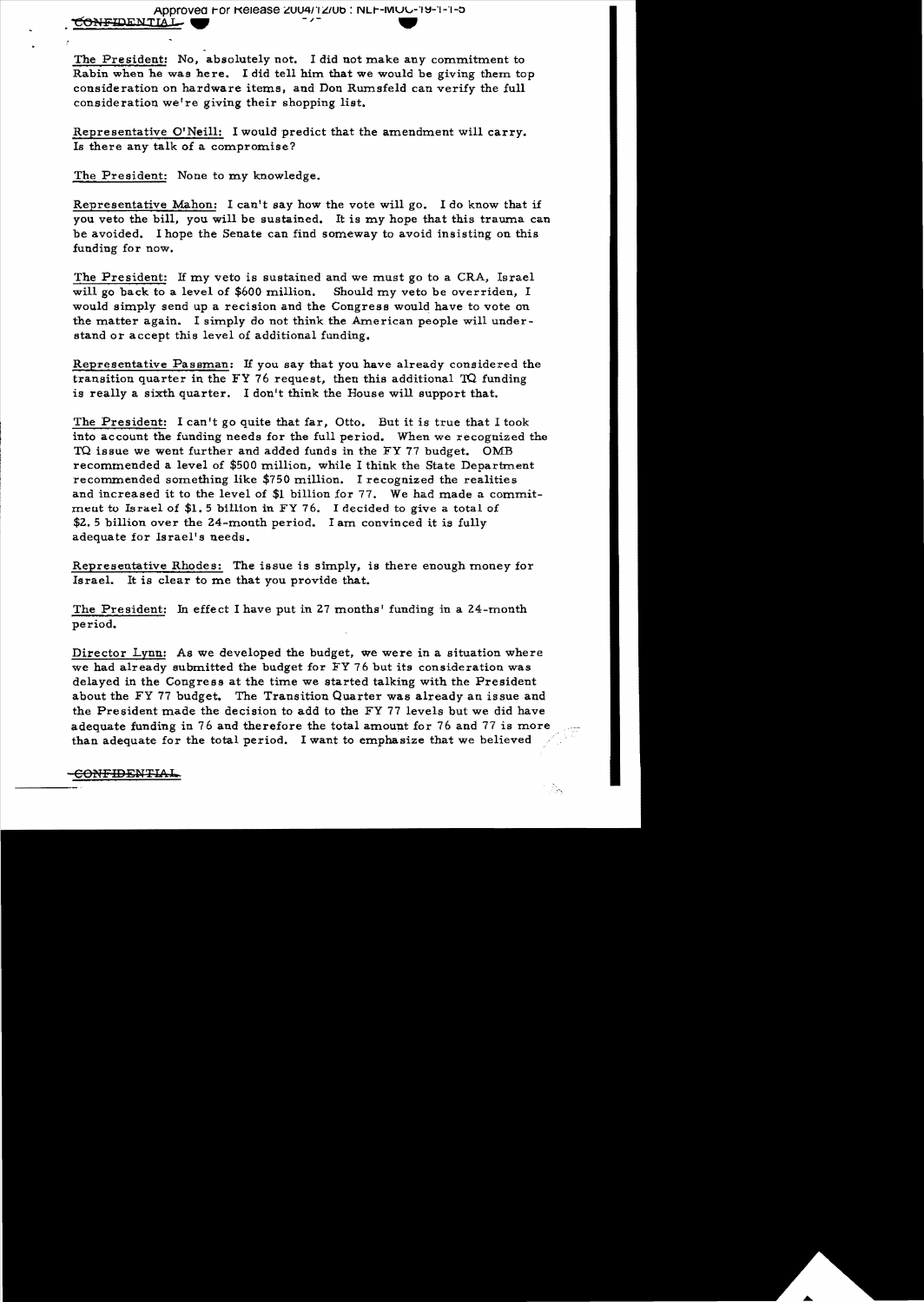The President: No, absolutely not. I did not make any commitment to Rabin when he was here. I did tell him that we would be giving them top consideration on hardware items. and Don Rumsfeld can verify the full consideration we're giving their shopping list.

Representative O'Neill: I would predict that the amendment will carry. Is there any talk of a compromise?

The President: None to my knowledge.

Representative Mahon: I can't say how the vote will go. I do know that if you veto the bill, you will be sustained. It is my hope that this trauma can be avoided. I hope the Senate can find someway to avoid insisting on this funding for now.

Should my veto be overriden, I The President: If my veto is sustained and we must go to a CRA, Israel will go back to a level of  $$600$  million. would simply send up a recision and the Congress would have to vote on the matter again. I simply do not think the American people will understand or accept this level of additional funding.

Representative Passman: If you say that you have already considered the transition quarter in the FY 76 request, then this additional  $TQ$  funding is really a sixth quarter. I don't think the House will support that.

The President: I can 't go quite that far, Otto. But it is true that I took into account the funding needs for the full period. When we recognized the TQ issue we went further and added funds in the FY 17 budget. OMB recommended a level of \$500 million, while I think the State Department recommended something like \$750 million. I recognized the realities and increased it to the level of \$1 billion for 77. We had made a commitment to Israel of  $$1.5$  billion in FY 76. I decided to give a total of \$2.5 billion over the 24-month period. I am convinced it is fully adequate for Israel's needs.

Representative Rhodes: The issue is simply, is there enough money for Israel. It is clear to me that you provide that.

The President: In effect I have put in 27 months' funding in a 24-month period.

Director Lynn: As we developed the budget, we were in a situation where we had already submitted the budget for FY 76 but its consideration was delayed in the Congress at the time we started talking with the President about the FY 77 budget. The Transition Quarter was already an issue and the President made the decision to add to the FY 77 levels but we did have adequate funding in 76 and therefore the total amount for 76 and 77 is more than adequate for the total period. I want to emphasize that we believed

#### CONFIDENTIAL.

ेल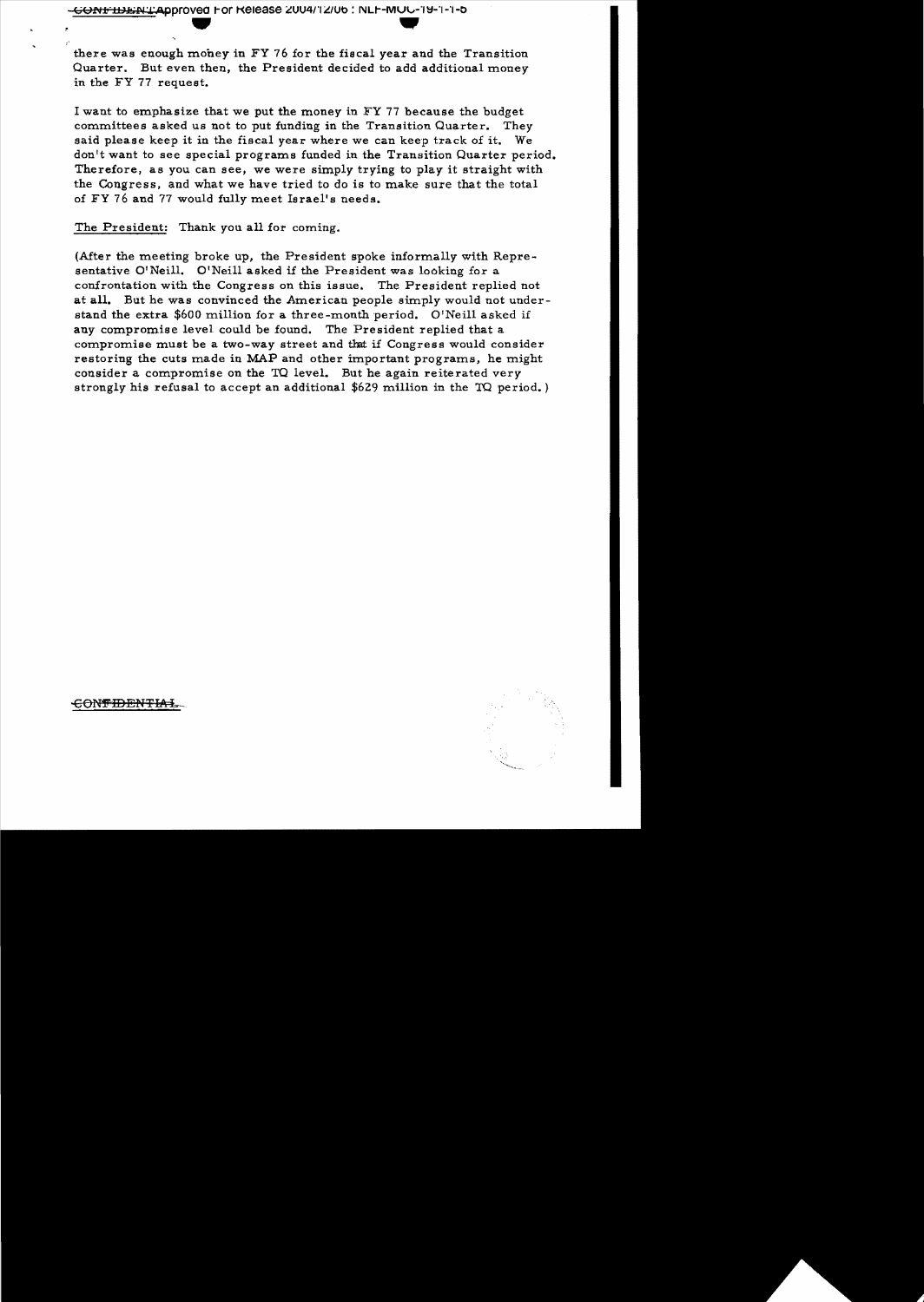there was enough mohey in FY 76 for the fiscal year and the Transition Quarter. But even then, the President decided to add additional money in the FY 77 request.

I want to emphasize that we put the money in FY 77 because the budget committees asked us not to put funding in the Transition Quarter. They said please keep it in the fiscal year where we can keep track of it. We don't want to see special programs funded in the Transition Quarter period. Therefore, as you can see, we were simply trying to play it straight with the Congress, and what we have tried to do is to make sure that the total of FY 76 and 77 would fully meet Israel's needs.

The President: Thank you all for coming.

(After the meeting broke up, the President spoke informally with Representative O'Neill. O'Neill asked if the President was looking for a confrontation with the Congress on this issue. The President replied not at all. But he was convinced the American people simply would not understand the extra \$600 million for a three-month period. O'Neill asked if any compromise level could be found. The President replied that a compromise must be a two-way street and that if Congress would consider restoring the cuts made in MAP and other important programs, he might consider a compromise on the TO level. But he again reiterated very strongly his refusal to accept an additional \$629 million in the TO period. )



<del>CONTIDENTIAL</del>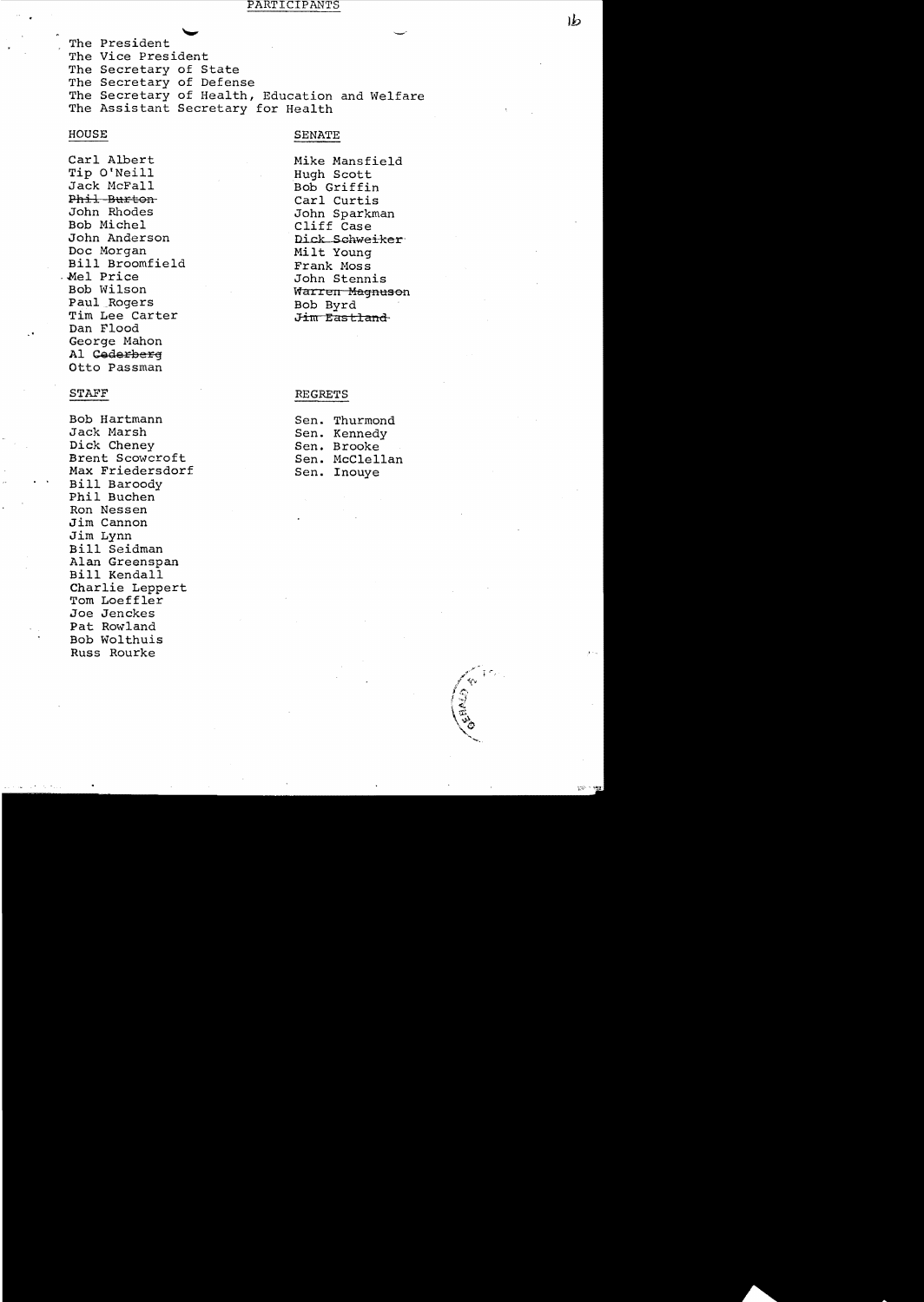#### PARTICIPANTS

The President The Vice President The Secretary of State The Secretary of Defense The Secretary of Health, Education and Welfare The Assistant Secretary for Health

#### HOUSE

#### SENATE

Carl Albert Tip O'Neill Jack McFall Phil Burton-John Rhodes Bob Michel John Anderson Doc Morgan Bill Broomfield .Mel Price Bob Wilson Paul Rogers Tim Lee Carter Dan Flood George Mahon Al Cederberg Otto Passman

#### STAFF

Bob Hartmann Jack Marsh Dick Cheney Brent Scowcroft Max Friedersdorf Bill Baroody Phil Buchen Ron Nessen Jim Cannon Jim Lynn Bill Seidman Alan Greenspan Bill Kendall Charlie Leppert Tom Loeffler Joe Jenckes Pat Rowland Bob Wolthuis Russ Rourke

Mike Mansfield Hugh Scott Bob Griffin Carl Curtis John Sparkman Cliff Case Dick Schweiker Milt Young Frank Moss John Stennis Warren Magnuson Bob Byrd Jim Eastland

#### **REGRETS**

|      | Sen. Thurmond |
|------|---------------|
|      | Sen. Kennedy  |
| Sen. | <b>Brooke</b> |
| Sen. | McClellan     |
|      | Sen. Inouye   |

 $|b|$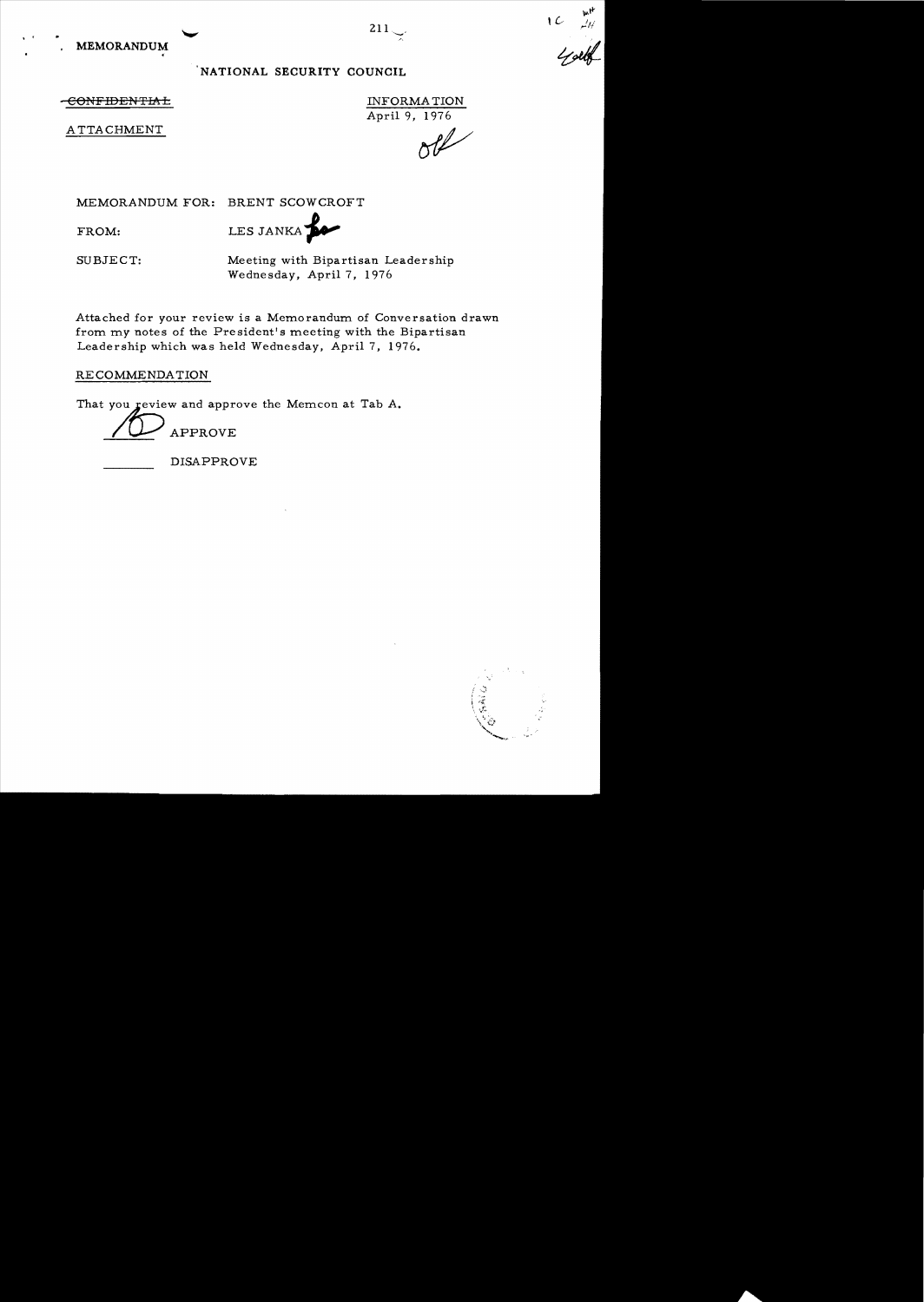# NATIONAL SECURITY COUNCIL

 $\overline{\text{COMFIDENTHA}}$   $\overline{\text{IMFORMA}}$ 

April 9, 1976

ATTACHMENT **of the set of the set of the set of the set of the set of the set of the set of the set of the set of the set of the set of the set of the set of the set of the set of the set of the set of the set of the set o** 

MEMORANDUM FOR: BRENT SCOWCROFT

FROM:

LES JANKA

SUBJECT: Meeting with Bipartisan Leadership Wednesday, April 7, 1976

Attached for your review is a Memorandum of Conversation drawn from my notes of the President's meeting with the Bipartisan Leadership which was held Wednesday, April 7, 1976.

RECOMMENDATION

That you review and approve the Memcon at Tab A.

APPROVE

DISAPPROVE